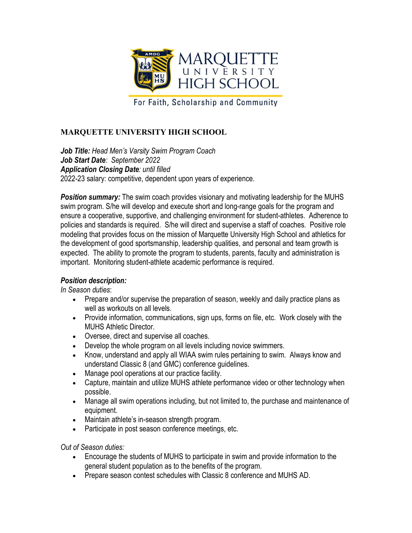

For Faith, Scholarship and Community

## **MARQUETTE UNIVERSITY HIGH SCHOOL**

*Job Title: Head Men's Varsity Swim Program Coach Job Start Date: September 2022 Application Closing Date: until filled* 2022-23 salary: competitive, dependent upon years of experience.

**Position summary:** The swim coach provides visionary and motivating leadership for the MUHS swim program. S/he will develop and execute short and long-range goals for the program and ensure a cooperative, supportive, and challenging environment for student-athletes. Adherence to policies and standards is required. S/he will direct and supervise a staff of coaches. Positive role modeling that provides focus on the mission of Marquette University High School and athletics for the development of good sportsmanship, leadership qualities, and personal and team growth is expected. The ability to promote the program to students, parents, faculty and administration is important. Monitoring student-athlete academic performance is required.

## *Position description:*

*In Season duties*:

- Prepare and/or supervise the preparation of season, weekly and daily practice plans as well as workouts on all levels.
- Provide information, communications, sign ups, forms on file, etc. Work closely with the MUHS Athletic Director.
- Oversee, direct and supervise all coaches.
- Develop the whole program on all levels including novice swimmers.
- Know, understand and apply all WIAA swim rules pertaining to swim. Always know and understand Classic 8 (and GMC) conference guidelines.
- Manage pool operations at our practice facility.
- Capture, maintain and utilize MUHS athlete performance video or other technology when possible.
- Manage all swim operations including, but not limited to, the purchase and maintenance of equipment.
- Maintain athlete's in-season strength program.
- Participate in post season conference meetings, etc.

*Out of Season duties:*

- Encourage the students of MUHS to participate in swim and provide information to the general student population as to the benefits of the program.
- Prepare season contest schedules with Classic 8 conference and MUHS AD.